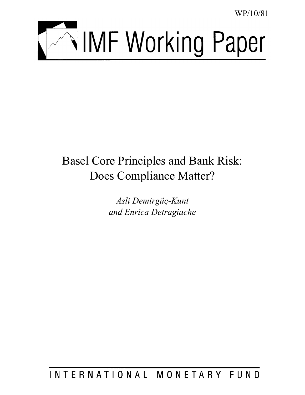WP/10/81



# Basel Core Principles and Bank Risk: Does Compliance Matter?

*Asli Demirgüç-Kunt and Enrica Detragiache* 

INTERNATIONAL MONETARY FUND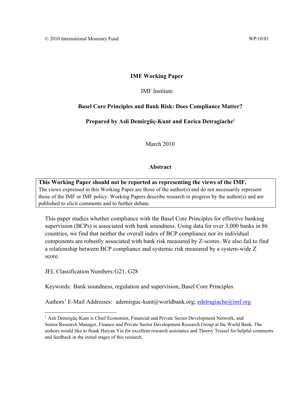#### **IMF Working Paper**

IMF Institute

#### **Basel Core Principles and Bank Risk: Does Compliance Matter?**

**Prepared by Asli Demirgüç-Kunt and Enrica Detragiache1**

March 2010

#### **Abstract**

**This Working Paper should not be reported as representing the views of the IMF.** The views expressed in this Working Paper are those of the author(s) and do not necessarily represent those of the IMF or IMF policy. Working Papers describe research in progress by the author(s) and are published to elicit comments and to further debate.

This paper studies whether compliance with the Basel Core Principles for effective banking supervision (BCPs) is associated with bank soundness. Using data for over 3,000 banks in 86 countries, we find that neither the overall index of BCP compliance nor its individual components are robustly associated with bank risk measured by Z-scores. We also fail to find a relationship between BCP compliance and systemic risk measured by a system-wide Z score.

JEL Classification Numbers: G21, G28

1

Keywords: Bank soundness, regulation and supervision, Basel Core Principles

Authors' E-Mail Addresses: ademirguc-kunt@worldbank.org; edetragiache@imf.org

<sup>&</sup>lt;sup>1</sup> Aslı Demirgüç-Kunt is Chief Economist, Financial and Private Sector Development Network, and Senior Research Manager, Finance and Private Sector Development Research Group at the World Bank. The authors would like to thank Haiyan Yin for excellent research assistance and Thierry Tressel for helpful comments and feedback in the initial stages of this research.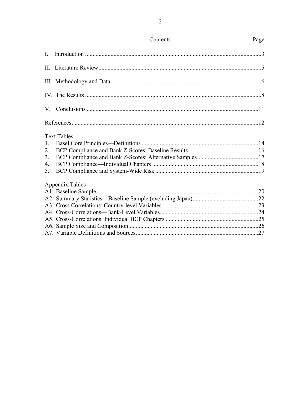|         | <b>Text Tables</b>     |  |
|---------|------------------------|--|
| $1_{-}$ |                        |  |
| 2.      |                        |  |
| 3.      |                        |  |
| 4.      |                        |  |
| 5.      |                        |  |
|         | <b>Appendix Tables</b> |  |
|         |                        |  |
|         |                        |  |
|         |                        |  |
|         |                        |  |
|         |                        |  |
|         |                        |  |
|         |                        |  |

# Contents

# Page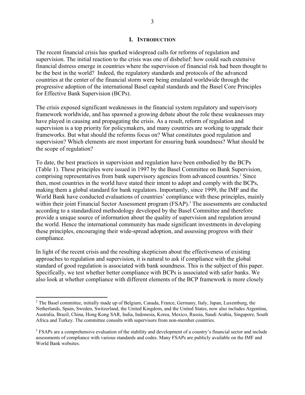#### **I. INTRODUCTION**

The recent financial crisis has sparked widespread calls for reforms of regulation and supervision. The initial reaction to the crisis was one of disbelief: how could such extensive financial distress emerge in countries where the supervision of financial risk had been thought to be the best in the world? Indeed, the regulatory standards and protocols of the advanced countries at the center of the financial storm were being emulated worldwide through the progressive adoption of the international Basel capital standards and the Basel Core Principles for Effective Bank Supervision (BCPs).

The crisis exposed significant weaknesses in the financial system regulatory and supervisory framework worldwide, and has spawned a growing debate about the role these weaknesses may have played in causing and propagating the crisis. As a result, reform of regulation and supervision is a top priority for policymakers, and many countries are working to upgrade their frameworks. But what should the reforms focus on? What constitutes good regulation and supervision? Which elements are most important for ensuring bank soundness? What should be the scope of regulation?

To date, the best practices in supervision and regulation have been embodied by the BCPs (Table 1). These principles were issued in 1997 by the Basel Committee on Bank Supervision, comprising representatives from bank supervisory agencies from advanced countries.<sup>2</sup> Since then, most countries in the world have stated their intent to adopt and comply with the BCPs, making them a global standard for bank regulators. Importantly, since 1999, the IMF and the World Bank have conducted evaluations of countries' compliance with these principles, mainly within their joint Financial Sector Assessment program (FSAP).<sup>3</sup> The assessments are conducted according to a standardized methodology developed by the Basel Committee and therefore provide a unique source of information about the quality of supervision and regulation around the world. Hence the international community has made significant investments in developing these principles, encouraging their wide-spread adoption, and assessing progress with their compliance.

In light of the recent crisis and the resulting skepticism about the effectiveness of existing approaches to regulation and supervision, it is natural to ask if compliance with the global standard of good regulation is associated with bank soundness. This is the subject of this paper. Specifically, we test whether better compliance with BCPs is associated with safer banks. We also look at whether compliance with different elements of the BCP framework is more closely

<sup>&</sup>lt;sup>2</sup> The Basel committee, initially made up of Belgium, Canada, France, Germany, Italy, Japan, Luxemburg, the Netherlands, Spain, Sweden, Switzerland, the United Kingdom, and the United States, now also includes Argentina, Australia, Brazil, China, Hong Kong SAR, India, Indonesia, Korea, Mexico, Russia, Saudi Arabia, Singapore, South Africa and Turkey. The committee consults with supervisors from non-member countries.

<sup>&</sup>lt;sup>3</sup> FSAPs are a comprehensive evaluation of the stability and development of a country's financial sector and include assessments of compliance with various standards and codes. Many FSAPs are publicly available on the IMF and World Bank websites.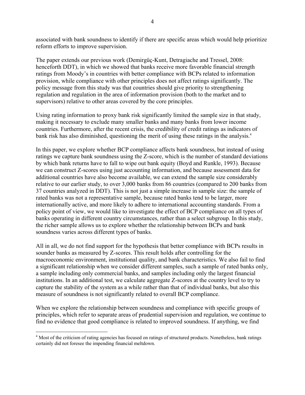associated with bank soundness to identify if there are specific areas which would help prioritize reform efforts to improve supervision.

The paper extends our previous work (Demirgüç-Kunt, Detragiache and Tressel, 2008: henceforth DDT), in which we showed that banks receive more favorable financial strength ratings from Moody's in countries with better compliance with BCPs related to information provision, while compliance with other principles does not affect ratings significantly. The policy message from this study was that countries should give priority to strengthening regulation and regulation in the area of information provision (both to the market and to supervisors) relative to other areas covered by the core principles.

Using rating information to proxy bank risk significantly limited the sample size in that study, making it necessary to exclude many smaller banks and many banks from lower income countries. Furthermore, after the recent crisis, the credibility of credit ratings as indicators of bank risk has also diminished, questioning the merit of using these ratings in the analysis.<sup>4</sup>

In this paper, we explore whether BCP compliance affects bank soundness, but instead of using ratings we capture bank soundness using the Z-score, which is the number of standard deviations by which bank returns have to fall to wipe out bank equity (Boyd and Runkle, 1993). Because we can construct Z-scores using just accounting information, and because assessment data for additional countries have also become available, we can extend the sample size considerably relative to our earlier study, to over 3,000 banks from 86 countries (compared to 200 banks from 37 countries analyzed in DDT). This is not just a simple increase in sample size: the sample of rated banks was not a representative sample, because rated banks tend to be larger, more internationally active, and more likely to adhere to international accounting standards. From a policy point of view, we would like to investigate the effect of BCP compliance on all types of banks operating in different country circumstances, rather than a select subgroup. In this study, the richer sample allows us to explore whether the relationship between BCPs and bank soundness varies across different types of banks.

All in all, we do not find support for the hypothesis that better compliance with BCPs results in sounder banks as measured by Z-scores. This result holds after controlling for the macroeconomic environment, institutional quality, and bank characteristics. We also fail to find a significant relationship when we consider different samples, such a sample of rated banks only, a sample including only commercial banks, and samples including only the largest financial institutions. In an additional test, we calculate aggregate Z-scores at the country level to try to capture the stability of the system as a while rather than that of individual banks, but also this measure of soundness is not significantly related to overall BCP compliance.

When we explore the relationship between soundness and compliance with specific groups of principles, which refer to separate areas of prudential supervision and regulation, we continue to find no evidence that good compliance is related to improved soundness. If anything, we find

 $\overline{a}$ <sup>4</sup> Most of the criticism of rating agencies has focused on ratings of structured products. Nonetheless, bank ratings certainly did not foresee the impending financial meltdown.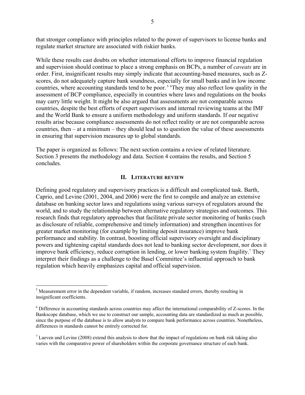that stronger compliance with principles related to the power of supervisors to license banks and regulate market structure are associated with riskier banks.

While these results cast doubts on whether international efforts to improve financial regulation and supervision should continue to place a strong emphasis on BCPs, a number of *caveats* are in order. First, insignificant results may simply indicate that accounting-based measures, such as Zscores, do not adequately capture bank soundness, especially for small banks and in low income countries, where accounting standards tend to be poor. 5 <sup>6</sup> They may also reflect low quality in the assessment of BCP compliance, especially in countries where laws and regulations on the books may carry little weight. It might be also argued that assessments are not comparable across countries, despite the best efforts of expert supervisors and internal reviewing teams at the IMF and the World Bank to ensure a uniform methodology and uniform standards. If our negative results arise because compliance assessments do not reflect reality or are not comparable across countries, then – at a minimum – they should lead us to question the value of these assessments in ensuring that supervision measures up to global standards.

The paper is organized as follows: The next section contains a review of related literature. Section 3 presents the methodology and data. Section 4 contains the results, and Section 5 concludes.

#### **II. LITERATURE REVIEW**

Defining good regulatory and supervisory practices is a difficult and complicated task. Barth, Caprio, and Levine (2001, 2004, and 2006) were the first to compile and analyze an extensive database on banking sector laws and regulations using various surveys of regulators around the world, and to study the relationship between alternative regulatory strategies and outcomes. This research finds that regulatory approaches that facilitate private sector monitoring of banks (such as disclosure of reliable, comprehensive and timely information) and strengthen incentives for greater market monitoring (for example by limiting deposit insurance) improve bank performance and stability. In contrast, boosting official supervisory oversight and disciplinary powers and tightening capital standards does not lead to banking sector development, nor does it improve bank efficiency, reduce corruption in lending, or lower banking system fragility.<sup>7</sup> They interpret their findings as a challenge to the Basel Committee's influential approach to bank regulation which heavily emphasizes capital and official supervision.

<sup>1</sup> <sup>5</sup> Measurement error in the dependent variable, if random, increases standard errors, thereby resulting in insignificant coefficients.

 $6$  Difference in accounting standards across countries may affect the international comparability of Z-scores. In the Bankscope database, which we use to construct our sample, accounting data are standardized as much as possible, since the purpose of the database is to allow analysts to compare bank performance across countries. Nonetheless, differences in standards cannot be entirely corrected for.

<sup>&</sup>lt;sup>7</sup> Laeven and Levine (2008) extend this analysis to show that the impact of regulations on bank risk taking also varies with the comparative power of shareholders within the corporate governance structure of each bank.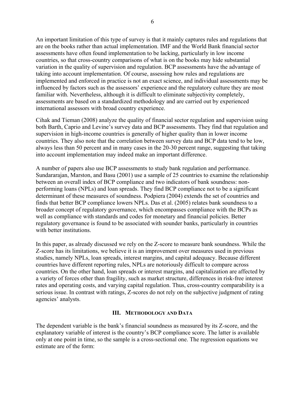An important limitation of this type of survey is that it mainly captures rules and regulations that are on the books rather than actual implementation. IMF and the World Bank financial sector assessments have often found implementation to be lacking, particularly in low income countries, so that cross-country comparisons of what is on the books may hide substantial variation in the quality of supervision and regulation. BCP assessments have the advantage of taking into account implementation. Of course, assessing how rules and regulations are implemented and enforced in practice is not an exact science, and individual assessments may be influenced by factors such as the assessors' experience and the regulatory culture they are most familiar with. Nevertheless, although it is difficult to eliminate subjectivity completely, assessments are based on a standardized methodology and are carried out by experienced international assessors with broad country experience.

Cihak and Tieman (2008) analyze the quality of financial sector regulation and supervision using both Barth, Caprio and Levine's survey data and BCP assessments. They find that regulation and supervision in high-income countries is generally of higher quality than in lower income countries. They also note that the correlation between survey data and BCP data tend to be low, always less than 50 percent and in many cases in the 20-30 percent range, suggesting that taking into account implementation may indeed make an important difference.

A number of papers also use BCP assessments to study bank regulation and performance. Sundararajan, Marston, and Basu (2001) use a sample of 25 countries to examine the relationship between an overall index of BCP compliance and two indicators of bank soundness: nonperforming loans (NPLs) and loan spreads. They find BCP compliance not to be a significant determinant of these measures of soundness. Podpiera (2004) extends the set of countries and finds that better BCP compliance lowers NPLs. Das et al. (2005) relates bank soundness to a broader concept of regulatory governance, which encompasses compliance with the BCPs as well as compliance with standards and codes for monetary and financial policies. Better regulatory governance is found to be associated with sounder banks, particularly in countries with better institutions.

In this paper, as already discussed we rely on the Z-score to measure bank soundness. While the Z-score has its limitations, we believe it is an improvement over measures used in previous studies, namely NPLs, loan spreads, interest margins, and capital adequacy. Because different countries have different reporting rules, NPLs are notoriously difficult to compare across countries. On the other hand, loan spreads or interest margins, and capitalization are affected by a variety of forces other than fragility, such as market structure, differences in risk-free interest rates and operating costs, and varying capital regulation. Thus, cross-country comparability is a serious issue. In contrast with ratings, Z-scores do not rely on the subjective judgment of rating agencies' analysts.

#### **III. METHODOLOGY AND DATA**

The dependent variable is the bank's financial soundness as measured by its Z-score, and the explanatory variable of interest is the country's BCP compliance score. The latter is available only at one point in time, so the sample is a cross-sectional one. The regression equations we estimate are of the form: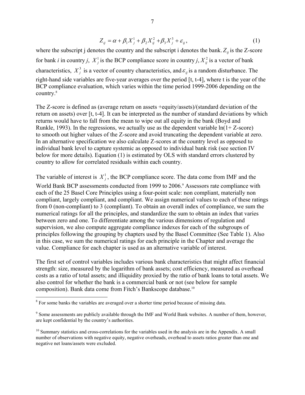$$
Z_{ij} = \alpha + \beta_1 X_j^1 + \beta_2 X_{ij}^2 + \beta_3 X_j^3 + \varepsilon_{ij},
$$
 (1)

where the subscript j denotes the country and the subscript i denotes the bank.  $Z_{ij}$  is the Z-score for bank *i* in country *j*,  $X_j^1$  is the BCP compliance score in country *j*,  $X_{ij}^2$  is a vector of bank characteristics,  $X_j^3$  is a vector of country characteristics, and  $\varepsilon_{ij}$  is a random disturbance. The right-hand side variables are five-year averages over the period [t, t-4], where t is the year of the BCP compliance evaluation, which varies within the time period 1999-2006 depending on the country.<sup>8</sup>

The Z-score is defined as (average return on assets +equity/assets)/(standard deviation of the return on assets) over [t, t-4]. It can be interpreted as the number of standard deviations by which returns would have to fall from the mean to wipe out all equity in the bank (Boyd and Runkle, 1993). In the regressions, we actually use as the dependent variable  $ln(1+ Z\text{-score})$ to smooth out higher values of the Z-score and avoid truncating the dependent variable at zero. In an alternative specification we also calculate Z-scores at the country level as opposed to individual bank level to capture systemic as opposed to individual bank risk (see section IV below for more details). Equation (1) is estimated by OLS with standard errors clustered by country to allow for correlated residuals within each country.

The variable of interest is  $X_i^1$ , the BCP compliance score. The data come from IMF and the

World Bank BCP assessments conducted from 1999 to 2006.<sup>9</sup> Assessors rate compliance with each of the 25 Basel Core Principles using a four-point scale: non compliant, materially non compliant, largely compliant, and compliant. We assign numerical values to each of these ratings from 0 (non-compliant) to 3 (compliant). To obtain an overall index of compliance, we sum the numerical ratings for all the principles, and standardize the sum to obtain an index that varies between zero and one. To differentiate among the various dimensions of regulation and supervision, we also compute aggregate compliance indexes for each of the subgroups of principles following the grouping by chapters used by the Basel Committee (See Table 1). Also in this case, we sum the numerical ratings for each principle in the Chapter and average the value. Compliance for each chapter is used as an alternative variable of interest.

The first set of control variables includes various bank characteristics that might affect financial strength: size, measured by the logarithm of bank assets; cost efficiency, measured as overhead costs as a ratio of total assets; and illiquidity proxied by the ratio of bank loans to total assets. We also control for whether the bank is a commercial bank or not (see below for sample composition). Bank data come from Fitch's Bankscope database.10

<sup>&</sup>lt;sup>8</sup> For some banks the variables are averaged over a shorter time period because of missing data.

<sup>&</sup>lt;sup>9</sup> Some assessments are publicly available through the IMF and World Bank websites. A number of them, however, are kept confidential by the country's authorities.

<sup>&</sup>lt;sup>10</sup> Summary statistics and cross-correlations for the variables used in the analysis are in the Appendix. A small number of observations with negative equity, negative overheads, overhead to assets ratios greater than one and negative net loans/assets were excluded.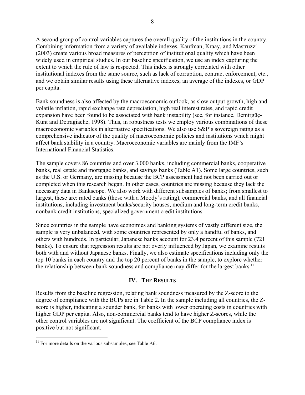A second group of control variables captures the overall quality of the institutions in the country. Combining information from a variety of available indexes, Kaufman, Kraay, and Mastruzzi (2003) create various broad measures of perception of institutional quality which have been widely used in empirical studies. In our baseline specification, we use an index capturing the extent to which the rule of law is respected. This index is strongly correlated with other institutional indexes from the same source, such as lack of corruption, contract enforcement, etc., and we obtain similar results using these alternative indexes, an average of the indexes, or GDP per capita.

Bank soundness is also affected by the macroeconomic outlook, as slow output growth, high and volatile inflation, rapid exchange rate depreciation, high real interest rates, and rapid credit expansion have been found to be associated with bank instability (see, for instance, Demirgüç-Kunt and Detragiache, 1998). Thus, in robustness tests we employ various combinations of these macroeconomic variables in alternative specifications. We also use S&P's sovereign rating as a comprehensive indicator of the quality of macroeconomic policies and institutions which might affect bank stability in a country. Macroeconomic variables are mainly from the IMF's International Financial Statistics.

The sample covers 86 countries and over 3,000 banks, including commercial banks, cooperative banks, real estate and mortgage banks, and savings banks (Table A1). Some large countries, such as the U.S. or Germany, are missing because the BCP assessment had not been carried out or completed when this research began. In other cases, countries are missing because they lack the necessary data in Bankscope. We also work with different subsamples of banks; from smallest to largest, these are: rated banks (those with a Moody's rating), commercial banks, and all financial institutions, including investment banks/security houses, medium and long-term credit banks, nonbank credit institutions, specialized government credit institutions.

Since countries in the sample have economies and banking systems of vastly different size, the sample is very unbalanced, with some countries represented by only a handful of banks, and others with hundreds. In particular, Japanese banks account for 23.4 percent of this sample (721 banks). To ensure that regression results are not overly influenced by Japan, we examine results both with and without Japanese banks. Finally, we also estimate specifications including only the top 10 banks in each country and the top 20 percent of banks in the sample, to explore whether the relationship between bank soundness and compliance may differ for the largest banks.<sup>11</sup>

## **IV. THE RESULTS**

Results from the baseline regression, relating bank soundness measured by the Z-score to the degree of compliance with the BCPs are in Table 2. In the sample including all countries, the Zscore is higher, indicating a sounder bank, for banks with lower operating costs in countries with higher GDP per capita. Also, non-commercial banks tend to have higher Z-scores, while the other control variables are not significant. The coefficient of the BCP compliance index is positive but not significant.

<sup>1</sup>  $11$  For more details on the various subsamples, see Table A6.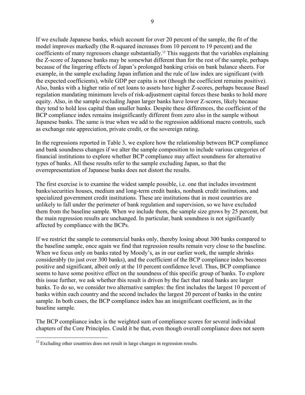If we exclude Japanese banks, which account for over 20 percent of the sample, the fit of the model improves markedly (the R-squared increases from 10 percent to 19 percent) and the coefficients of many regressors change substantially.12 This suggests that the variables explaining the Z-score of Japanese banks may be somewhat different than for the rest of the sample, perhaps because of the lingering effects of Japan's prolonged banking crisis on bank balance sheets. For example, in the sample excluding Japan inflation and the rule of law index are significant (with the expected coefficients), while GDP per capita is not (though the coefficient remains positive). Also, banks with a higher ratio of net loans to assets have higher Z-scores, perhaps because Basel regulation mandating minimum levels of risk-adjustment capital forces these banks to hold more equity. Also, in the sample excluding Japan larger banks have lower Z-scores, likely because they tend to hold less capital than smaller banks. Despite these differences, the coefficient of the BCP compliance index remains insignificantly different from zero also in the sample without Japanese banks. The same is true when we add to the regression additional macro controls, such as exchange rate appreciation, private credit, or the sovereign rating.

In the regressions reported in Table 3, we explore how the relationship between BCP compliance and bank soundness changes if we alter the sample composition to include various categories of financial institutions to explore whether BCP compliance may affect soundness for alternative types of banks. All these results refer to the sample excluding Japan, so that the overrepresentation of Japanese banks does not distort the results.

The first exercise is to examine the widest sample possible, i.e. one that includes investment banks/securities houses, medium and long-term credit banks, nonbank credit institutions, and specialized government credit institutions. These are institutions that in most countries are unlikely to fall under the perimeter of bank regulation and supervision, so we have excluded them from the baseline sample. When we include them, the sample size grows by 25 percent, but the main regression results are unchanged. In particular, bank soundness is not significantly affected by compliance with the BCPs.

If we restrict the sample to commercial banks only, thereby losing about 300 banks compared to the baseline sample, once again we find that regression results remain very close to the baseline. When we focus only on banks rated by Moody's, as in our earlier work, the sample shrinks considerably (to just over 300 banks), and the coefficient of the BCP compliance index becomes positive and significant, albeit only at the 10 percent confidence level. Thus, BCP compliance seems to have some positive effect on the soundness of this specific group of banks. To explore this issue further, we ask whether this result is driven by the fact that rated banks are larger banks. To do so, we consider two alternative samples: the first includes the largest 10 percent of banks within each country and the second includes the largest 20 percent of banks in the entire sample. In both cases, the BCP compliance index has an insignificant coefficient, as in the baseline sample.

The BCP compliance index is the weighted sum of compliance scores for several individual chapters of the Core Principles. Could it be that, even though overall compliance does not seem

 $\overline{a}$  $12$  Excluding other countries does not result in large changes in regression results.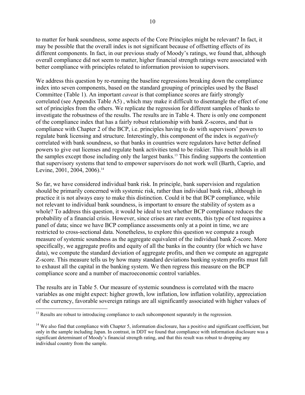to matter for bank soundness, some aspects of the Core Principles might be relevant? In fact, it may be possible that the overall index is not significant because of offsetting effects of its different components. In fact, in our previous study of Moody's ratings, we found that, although overall compliance did not seem to matter, higher financial strength ratings were associated with better compliance with principles related to information provision to supervisors.

We address this question by re-running the baseline regressions breaking down the compliance index into seven components, based on the standard grouping of principles used by the Basel Committee (Table 1). An important *caveat* is that compliance scores are fairly strongly correlated (see Appendix Table A5) , which may make it difficult to disentangle the effect of one set of principles from the others. We replicate the regression for different samples of banks to investigate the robustness of the results. The results are in Table 4. There is only one component of the compliance index that has a fairly robust relationship with bank Z-scores, and that is compliance with Chapter 2 of the BCP, i.e. principles having to do with supervisors' powers to regulate bank licensing and structure. Interestingly, this component of the index is *negatively* correlated with bank soundness, so that banks in countries were regulators have better defined powers to give out licenses and regulate bank activities tend to be riskier. This result holds in all the samples except those including only the largest banks.13 This finding supports the contention that supervisory systems that tend to empower supervisors do not work well (Barth, Caprio, and Levine, 2001, 2004, 2006).<sup>14</sup>

So far, we have considered individual bank risk. In principle, bank supervision and regulation should be primarily concerned with systemic risk, rather than individual bank risk, although in practice it is not always easy to make this distinction. Could it be that BCP compliance, while not relevant to individual bank soundness, is important to ensure the stability of system as a whole? To address this question, it would be ideal to test whether BCP compliance reduces the probability of a financial crisis. However, since crises are rare events, this type of test requires a panel of data; since we have BCP compliance assessments only at a point in time, we are restricted to cross-sectional data. Nonetheless, to explore this question we compute a rough measure of systemic soundness as the aggregate equivalent of the individual bank Z-score. More specifically, we aggregate profits and equity of all the banks in the country (for which we have data), we compute the standard deviation of aggregate profits, and then we compute an aggregate Z-score. This measure tells us by how many standard deviations banking system profits must fall to exhaust all the capital in the banking system. We then regress this measure on the BCP compliance score and a number of macroeconomic control variables.

The results are in Table 5. Our measure of systemic soundness is correlated with the macro variables as one might expect: higher growth, low inflation, low inflation volatility, appreciation of the currency, favorable sovereign ratings are all significantly associated with higher values of

1

<sup>&</sup>lt;sup>13</sup> Results are robust to introducing compliance to each subcomponent separately in the regression.

 $14$  We also find that compliance with Chapter 5, information disclosure, has a positive and significant coefficient, but only in the sample including Japan. In contrast, in DDT we found that compliance with information disclosure was a significant determinant of Moody's financial strength rating, and that this result was robust to dropping any individual country from the sample.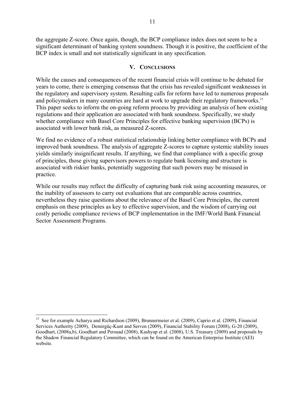the aggregate Z-score. Once again, though, the BCP compliance index does not seem to be a significant determinant of banking system soundness. Though it is positive, the coefficient of the BCP index is small and not statistically significant in any specification.

#### **V. CONCLUSIONS**

While the causes and consequences of the recent financial crisis will continue to be debated for years to come, there is emerging consensus that the crisis has revealed significant weaknesses in the regulatory and supervisory system. Resulting calls for reform have led to numerous proposals and policymakers in many countries are hard at work to upgrade their regulatory frameworks.<sup>15</sup> This paper seeks to inform the on-going reform process by providing an analysis of how existing regulations and their application are associated with bank soundness. Specifically, we study whether compliance with Basel Core Principles for effective banking supervision (BCPs) is associated with lower bank risk, as measured Z-scores.

We find no evidence of a robust statistical relationship linking better compliance with BCPs and improved bank soundness. The analysis of aggregate Z-scores to capture systemic stability issues yields similarly insignificant results. If anything, we find that compliance with a specific group of principles, those giving supervisors powers to regulate bank licensing and structure is associated with riskier banks, potentially suggesting that such powers may be misused in practice.

While our results may reflect the difficulty of capturing bank risk using accounting measures, or the inability of assessors to carry out evaluations that are comparable across countries, nevertheless they raise questions about the relevance of the Basel Core Principles, the current emphasis on these principles as key to effective supervision, and the wisdom of carrying out costly periodic compliance reviews of BCP implementation in the IMF/World Bank Financial Sector Assessment Programs.

 $\overline{a}$ 

<sup>&</sup>lt;sup>15</sup> See for example Acharya and Richardson (2009), Brunnermeier et al. (2009), Caprio et al. (2009), Financial Services Authority (2009), Demirgüç-Kunt and Serven (2009), Financial Stability Forum (2008), G-20 (2009), Goodhart, (2008a,b), Goodhart and Persuad (2008), Kashyap et al. (2008), U.S. Treasury (2009) and proposals by the Shadow Financial Regulatory Committee, which can be found on the American Enterprise Institute (AEI) website.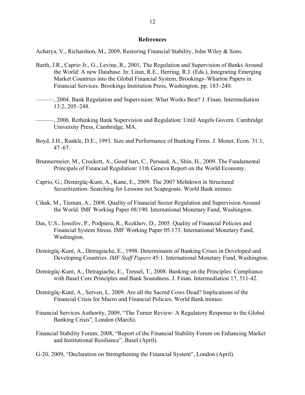#### **References**

Acharya, V., Richardson, M., 2009, Restoring Financial Stability, John Wiley & Sons.

- Barth, J.R., Caprio Jr., G., Levine, R., 2001, The Regulation and Supervision of Banks Around the World: A new Database. In: Litan, R.E., Herring, R.J. (Eds.), Integrating Emerging Market Countries into the Global Financial System, Brookings–Wharton Papers in Financial Services. Brookings Institution Press, Washington, pp. 183–240.
- ———, 2004. Bank Regulation and Supervision: What Works Best? J. Finan. Intermediation 13:2, 205–248.
- ———, 2006. Rethinking Bank Supervision and Regulation: Until Angels Govern. Cambridge University Press, Cambridge, MA.
- Boyd, J.H., Runkle, D.E., 1993. Size and Performance of Banking Firms. J. Monet. Econ*.* 31:1, 47–67.
- Brunnermeier, M., Crockett, A., Good hart, C., Persaud, A., Shin, H., 2009. The Fundamental Principals of Financial Regulation: 11th Geneva Report on the World Economy.
- Caprio, G.; Demirgüç-Kunt, A., Kane, E., 2009. The 2007 Meltdown in Structured Securitization: Searching for Lessons not Scapegoats. World Bank mimeo.
- Cihak, M., Tieman, A., 2008. Quality of Financial Sector Regulation and Supervision Around the World. IMF Working Paper 08/190. International Monetary Fund, Washington.
- Das, U.S., Iossifov, P., Podpiera, R., Rozkhov, D., 2005. Quality of Financial Policies and Financial System Stress. IMF Working Paper 05/173. International Monetary Fund, Washington.
- Demirgüç-Kunt, A., Detragiache, E., 1998. Determinants of Banking Crises in Developed and Developing Countries. *IMF Staff Papers* 45:1. International Monetary Fund, Washington.
- Demirgüç-Kunt, A., Detragiache, E., Tressel, T., 2008. Banking on the Principles: Compliance with Basel Core Principles and Bank Soundness. J. Finan. Intermediation 17, 511-42.
- Demirgüç-Kunt, A., Serven, L. 2009. Are all the Sacred Cows Dead? Implications of the Financial Crisis for Macro and Financial Policies. World Bank mimeo.
- Financial Services Authority, 2009, "The Turner Review: A Regulatory Response to the Global Banking Crisis", London (March).
- Financial Stability Forum, 2008, "Report of the Financial Stability Forum on Enhancing Market and Institutional Resilience", Basel (April).

G-20, 2009, "Declaration on Strengthening the Financial System", London (April).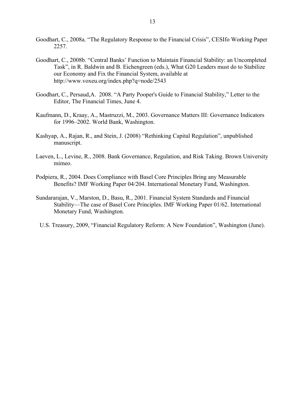- Goodhart, C., 2008a. "The Regulatory Response to the Financial Crisis", CESIfo Working Paper 2257.
- Goodhart, C., 2008b. "Central Banks' Function to Maintain Financial Stability: an Uncompleted Task", in R. Baldwin and B. Eichengreen (eds.), What G20 Leaders must do to Stabilize our Economy and Fix the Financial System, available at http://www.voxeu.org/index.php?q=node/2543
- Goodhart, C., Persaud,A. 2008. "A Party Pooper's Guide to Financial Stability," Letter to the Editor, The Financial Times, June 4.
- Kaufmann, D., Kraay, A., Mastruzzi, M., 2003. Governance Matters III: Governance Indicators for 1996–2002. World Bank, Washington.
- Kashyap, A., Rajan, R., and Stein, J. (2008) "Rethinking Capital Regulation", unpublished manuscript.
- Laeven, L., Levine, R., 2008. Bank Governance, Regulation, and Risk Taking. Brown University mimeo.
- Podpiera, R., 2004. Does Compliance with Basel Core Principles Bring any Measurable Benefits? IMF Working Paper 04/204. International Monetary Fund, Washington.
- Sundararajan, V., Marston, D., Basu, R., 2001. Financial System Standards and Financial Stability—The case of Basel Core Principles. IMF Working Paper 01/62. International Monetary Fund, Washington.
- U.S. Treasury, 2009, "Financial Regulatory Reform: A New Foundation", Washington (June).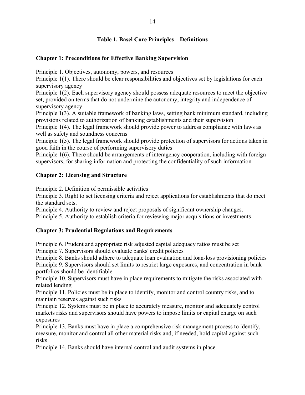## **Table 1. Basel Core Principles—Definitions**

## **Chapter 1: Preconditions for Effective Banking Supervision**

Principle 1. Objectives, autonomy, powers, and resources

Principle 1(1). There should be clear responsibilities and objectives set by legislations for each supervisory agency

Principle 1(2). Each supervisory agency should possess adequate resources to meet the objective set, provided on terms that do not undermine the autonomy, integrity and independence of supervisory agency

Principle 1(3). A suitable framework of banking laws, setting bank minimum standard, including provisions related to authorization of banking establishments and their supervision

Principle 1(4). The legal framework should provide power to address compliance with laws as well as safety and soundness concerns

Principle 1(5). The legal framework should provide protection of supervisors for actions taken in good faith in the course of performing supervisory duties

Principle 1(6). There should be arrangements of interagency cooperation, including with foreign supervisors, for sharing information and protecting the confidentiality of such information

## **Chapter 2: Licensing and Structure**

Principle 2. Definition of permissible activities

Principle 3. Right to set licensing criteria and reject applications for establishments that do meet the standard sets.

Principle 4. Authority to review and reject proposals of significant ownership changes.

Principle 5. Authority to establish criteria for reviewing major acquisitions or investments

## **Chapter 3: Prudential Regulations and Requirements**

Principle 6. Prudent and appropriate risk adjusted capital adequacy ratios must be set

Principle 7. Supervisors should evaluate banks' credit policies

Principle 8. Banks should adhere to adequate loan evaluation and loan-loss provisioning policies

Principle 9. Supervisors should set limits to restrict large exposures, and concentration in bank portfolios should be identifiable

Principle 10. Supervisors must have in place requirements to mitigate the risks associated with related lending

Principle 11. Policies must be in place to identify, monitor and control country risks, and to maintain reserves against such risks

Principle 12. Systems must be in place to accurately measure, monitor and adequately control markets risks and supervisors should have powers to impose limits or capital charge on such exposures

Principle 13. Banks must have in place a comprehensive risk management process to identify, measure, monitor and control all other material risks and, if needed, hold capital against such risks

Principle 14. Banks should have internal control and audit systems in place.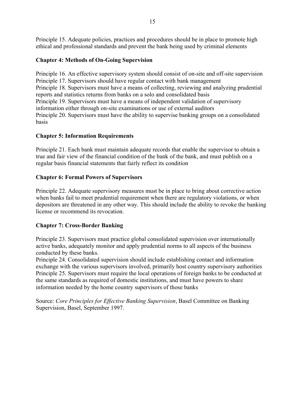Principle 15. Adequate policies, practices and procedures should be in place to promote high ethical and professional standards and prevent the bank being used by criminal elements

## **Chapter 4: Methods of On-Going Supervision**

Principle 16. An effective supervisory system should consist of on-site and off-site supervision Principle 17. Supervisors should have regular contact with bank management Principle 18. Supervisors must have a means of collecting, reviewing and analyzing prudential reports and statistics returns from banks on a solo and consolidated basis Principle 19. Supervisors must have a means of independent validation of supervisory information either through on-site examinations or use of external auditors Principle 20. Supervisors must have the ability to supervise banking groups on a consolidated basis

## **Chapter 5: Information Requirements**

Principle 21. Each bank must maintain adequate records that enable the supervisor to obtain a true and fair view of the financial condition of the bank of the bank, and must publish on a regular basis financial statements that fairly reflect its condition

## **Chapter 6: Formal Powers of Supervisors**

Principle 22. Adequate supervisory measures must be in place to bring about corrective action when banks fail to meet prudential requirement when there are regulatory violations, or when depositors are threatened in any other way. This should include the ability to revoke the banking license or recommend its revocation.

## **Chapter 7: Cross-Border Banking**

Principle 23. Supervisors must practice global consolidated supervision over internationally active banks, adequately monitor and apply prudential norms to all aspects of the business conducted by these banks.

Principle 24. Consolidated supervision should include establishing contact and information exchange with the various supervisors involved, primarily host country supervisory authorities Principle 25. Supervisors must require the local operations of foreign banks to be conducted at the same standards as required of domestic institutions, and must have powers to share information needed by the home country supervisors of those banks

Source: *Core Principles for Effective Banking Supervision*, Basel Committee on Banking Supervision, Basel, September 1997.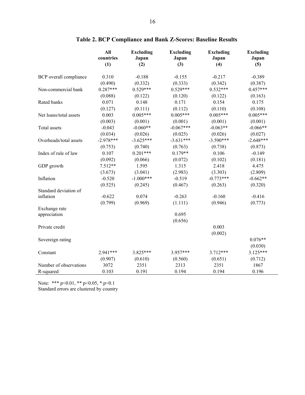|                        | All<br>countries | <b>Excluding</b><br>Japan | <b>Excluding</b><br>Japan | <b>Excluding</b><br>Japan | <b>Excluding</b><br>Japan |
|------------------------|------------------|---------------------------|---------------------------|---------------------------|---------------------------|
|                        | (1)              | (2)                       | (3)                       | (4)                       | (5)                       |
| BCP overall compliance | 0.310            | $-0.188$                  | $-0.155$                  | $-0.217$                  | $-0.389$                  |
|                        | (0.490)          | (0.332)                   | (0.333)                   | (0.342)                   | (0.387)                   |
| Non-commercial bank    | $0.287***$       | $0.529***$                | $0.529***$                | $0.532***$                | $0.457***$                |
|                        | (0.088)          | (0.122)                   | (0.120)                   | (0.122)                   | (0.163)                   |
| Rated banks            | 0.071            | 0.148                     | 0.171                     | 0.154                     | 0.175                     |
|                        | (0.127)          | (0.111)                   | (0.112)                   | (0.110)                   | (0.108)                   |
| Net loans/total assets | 0.003            | $0.005***$                | $0.005***$                | $0.005***$                | $0.005***$                |
|                        | (0.003)          | (0.001)                   | (0.001)                   | (0.001)                   | (0.001)                   |
| Total assets           | $-0.043$         | $-0.060**$                | $-0.067***$               | $-0.063**$                | $-0.066**$                |
|                        | (0.034)          | (0.026)                   | (0.025)                   | (0.026)                   | (0.027)                   |
| Overheads/total assets | $-2.978***$      | $-3.625***$               | $-3.631***$               | $-3.590***$               | $-2.648***$               |
|                        | (0.753)          | (0.740)                   | (0.763)                   | (0.738)                   | (0.873)                   |
| Index of rule of law   | 0.107            | $0.201***$                | $0.179**$                 | 0.106                     | $-0.149$                  |
|                        | (0.092)          | (0.066)                   | (0.072)                   | (0.102)                   | (0.181)                   |
| GDP growth             | $7.512**$        | 1.595                     | 1.315                     | 2.418                     | 4.475                     |
|                        | (3.673)          | (3.041)                   | (2.983)                   | (3.303)                   | (2.809)                   |
| Inflation              | $-0.520$         | $-1.000***$               | $-0.519$                  | $-0.773***$               | $-0.662**$                |
|                        | (0.525)          | (0.245)                   | (0.467)                   | (0.263)                   | (0.320)                   |
| Standard deviation of  |                  |                           |                           |                           |                           |
| inflation              | $-0.622$         | 0.074                     | $-0.263$                  | $-0.160$                  | $-0.416$                  |
|                        | (0.799)          | (0.969)                   | (1.111)                   | (0.946)                   | (0.773)                   |
| Exchange rate          |                  |                           |                           |                           |                           |
| appreciation           |                  |                           | 0.695                     |                           |                           |
|                        |                  |                           | (0.656)                   |                           |                           |
| Private credit         |                  |                           |                           | 0.003                     |                           |
|                        |                  |                           |                           | (0.002)                   |                           |
| Sovereign rating       |                  |                           |                           |                           | $0.076**$                 |
|                        |                  |                           |                           |                           | (0.030)                   |
| Constant               | 2.941 ***        | $3.825***$                | 3.957***                  | $3.712***$                | $3.125***$                |
|                        | (0.907)          | (0.610)                   | (0.560)                   | (0.651)                   | (0.712)                   |
| Number of observations | 3072             | 2351                      | 2313                      | 2351                      | 1867                      |
| R-squared              | 0.103            | 0.191                     | 0.194                     | 0.194                     | 0.196                     |

# **Table 2. BCP Compliance and Bank Z-Scores: Baseline Results**

Note: \*\*\* p<0.01, \*\* p<0.05, \* p<0.1

Standard errors are clustered by country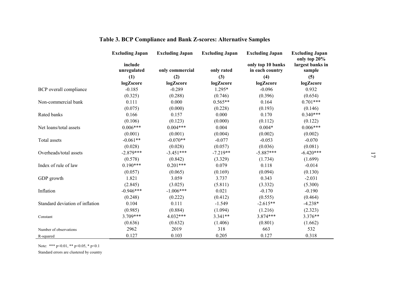|                                 | <b>Excluding Japan</b> | <b>Excluding Japan</b> | <b>Excluding Japan</b> | <b>Excluding Japan</b> | <b>Excluding Japan</b><br>only top 20% |
|---------------------------------|------------------------|------------------------|------------------------|------------------------|----------------------------------------|
|                                 | include                |                        |                        | only top 10 banks      | largest banks in                       |
|                                 | unregulated            | only commercial        | only rated             | in each country        | sample                                 |
|                                 | (1)                    | (2)                    | (3)                    | (4)                    | (5)                                    |
|                                 | logZscore              | logZscore              | logZscore              | logZscore              | logZscore                              |
| BCP overall compliance          | $-0.185$               | $-0.289$               | 1.295*                 | $-0.096$               | 0.932                                  |
|                                 | (0.325)                | (0.288)                | (0.746)                | (0.396)                | (0.654)                                |
| Non-commercial bank             | 0.111                  | 0.000                  | $0.565**$              | 0.164                  | $0.701***$                             |
|                                 | (0.075)                | (0.000)                | (0.228)                | (0.193)                | (0.146)                                |
| Rated banks                     | 0.166                  | 0.157                  | 0.000                  | 0.170                  | $0.340***$                             |
|                                 | (0.106)                | (0.123)                | (0.000)                | (0.112)                | (0.122)                                |
| Net loans/total assets          | $0.006***$             | $0.004***$             | 0.004                  | $0.004*$               | $0.006***$                             |
|                                 | (0.001)                | (0.001)                | (0.004)                | (0.002)                | (0.002)                                |
| Total assets                    | $-0.061**$             | $-0.070**$             | $-0.077$               | $-0.053$               | $-0.070$                               |
|                                 | (0.028)                | (0.028)                | (0.057)                | (0.036)                | (0.081)                                |
| Overheads/total assets          | $-2.879***$            | $-3.451***$            | $-7.219**$             | $-5.887***$            | $-6.420***$                            |
|                                 | (0.578)                | (0.842)                | (3.329)                | (1.734)                | (1.699)                                |
| Index of rule of law            | $0.190***$             | $0.201***$             | 0.079                  | 0.118                  | $-0.014$                               |
|                                 | (0.057)                | (0.065)                | (0.169)                | (0.094)                | (0.130)                                |
| GDP growth                      | 1.821                  | 3.059                  | 3.737                  | 0.343                  | $-2.031$                               |
|                                 | (2.845)                | (3.025)                | (5.811)                | (3.332)                | (5.300)                                |
| Inflation                       | $-0.946***$            | $-1.006***$            | 0.021                  | $-0.170$               | $-0.190$                               |
|                                 | (0.248)                | (0.222)                | (0.412)                | (0.555)                | (0.464)                                |
| Standard deviation of inflation | 0.104                  | 0.111                  | $-1.549$               | $-2.615**$             | $-4.238*$                              |
|                                 | (0.985)                | (0.884)                | (1.094)                | (1.216)                | (2.323)                                |
| Constant                        | $3.709***$             | $4.032***$             | 3.341**                | 3.874***               | 3.376**                                |
|                                 | (0.636)                | (0.632)                | (1.406)                | (0.801)                | (1.662)                                |
| Number of observations          | 2962                   | 2019                   | 318                    | 663                    | 532                                    |
| R-squared                       | 0.127                  | 0.103                  | 0.205                  | 0.127                  | 0.318                                  |

# **Table 3. BCP Compliance and Bank Z-scores: Alternative Samples**

Note: \*\*\* p<0.01, \*\* p<0.05, \* p<0.1

Standard errors are clustered by country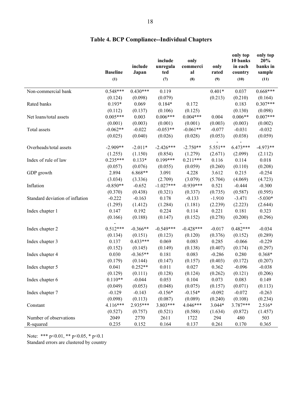|                                 | <b>Baseline</b> | include<br>Japan | include<br>unregula<br>ted | only<br>commerci<br>al | only<br>rated | only top<br>10 banks<br>in each<br>country | only top<br>20%<br>banks in<br>sample |
|---------------------------------|-----------------|------------------|----------------------------|------------------------|---------------|--------------------------------------------|---------------------------------------|
|                                 | (1)             |                  | (7)                        | (8)                    | (9)           | (10)                                       | (11)                                  |
| Non-commercial bank             | $0.548***$      | $0.430***$       | 0.119                      |                        | $0.401*$      | 0.037                                      | $0.668***$                            |
|                                 | (0.124)         | (0.098)          | (0.079)                    |                        | (0.213)       | (0.210)                                    | (0.164)                               |
| Rated banks                     | $0.193*$        | 0.069            | $0.184*$                   | 0.172                  |               | 0.183                                      | $0.307***$                            |
|                                 | (0.112)         | (0.137)          | (0.106)                    | (0.125)                |               | (0.130)                                    | (0.098)                               |
| Net loans/total assets          | $0.005***$      | 0.003            | $0.006***$                 | $0.004***$             | 0.004         | $0.006**$                                  | $0.007***$                            |
|                                 | (0.001)         | (0.003)          | (0.001)                    | (0.001)                | (0.003)       | (0.003)                                    | (0.002)                               |
| Total assets                    | $-0.062**$      | $-0.022$         | $-0.053**$                 | $-0.061**$             | $-0.077$      | $-0.031$                                   | $-0.032$                              |
|                                 | (0.025)         | (0.040)          | (0.026)                    | (0.028)                | (0.053)       | (0.038)                                    | (0.059)                               |
| Overheads/total assets          | $-2.909**$      | $-2.011*$        | $-2.426***$                | $-2.750**$             | $5.551**$     | $6.473***$                                 | $-4.973**$                            |
|                                 | (1.255)         | (1.150)          | (0.854)                    | (1.279)                | (2.671)       | (2.099)                                    | (2.112)                               |
| Index of rule of law            | $0.235***$      | $0.133*$         | $0.199***$                 | $0.211***$             | 0.116         | 0.114                                      | 0.018                                 |
|                                 | (0.057)         | (0.076)          | (0.055)                    | (0.059)                | (0.260)       | (0.110)                                    | (0.208)                               |
| GDP growth                      | 2.894           | $6.868**$        | 3.091                      | 4.228                  | 3.612         | 0.215                                      | $-0.254$                              |
|                                 | (3.034)         | (3.336)          | (2.709)                    | (3.079)                | (5.704)       | (4.069)                                    | (4.723)                               |
| Inflation                       | $-0.850**$      | $-0.652$         | $-1.027***$                | $-0.939***$            | 0.521         | $-0.444$                                   | $-0.300$                              |
|                                 | (0.370)         | (0.438)          | (0.321)                    | (0.337)                | (0.735)       | (0.587)                                    | (0.595)                               |
| Standard deviation of inflation | $-0.222$        | $-0.163$         | 0.178                      | $-0.133$               | $-1.910$      | $-3.471$                                   | $-5.030*$                             |
|                                 | (1.295)         | (1.412)          | (1.284)                    | (1.181)                | (2.239)       | (2.223)                                    | (2.644)                               |
| Index chapter 1                 | 0.147           | 0.192            | 0.224                      | 0.114                  | 0.221         | 0.181                                      | 0.323                                 |
|                                 | (0.166)         | (0.188)          | (0.147)                    | (0.152)                | (0.278)       | (0.200)                                    | (0.296)                               |
| Index chapter 2                 | $0.512***$      | $-0.366**$       | $-0.549***$                | $-0.428***$            | $-0.017$      | $0.482***$                                 | $-0.034$                              |
|                                 | (0.134)         | (0.151)          | (0.123)                    | (0.120)                | (0.376)       | (0.152)                                    | (0.289)                               |
| Index chapter 3                 | 0.137           | $0.433***$       | 0.069                      | 0.083                  | 0.285         | $-0.066$                                   | $-0.229$                              |
|                                 | (0.152)         | (0.145)          | (0.149)                    | (0.138)                | (0.407)       | (0.174)                                    | (0.297)                               |
| Index chapter 4                 | 0.030           | $-0.365**$       | 0.181                      | 0.083                  | $-0.286$      | 0.280                                      | $0.368*$                              |
|                                 | (0.179)         | (0.144)          | (0.147)                    | (0.157)                | (0.403)       | (0.172)                                    | (0.207)                               |
| Index chapter 5                 | 0.041           | $0.252**$        | 0.011                      | 0.027                  | 0.362         | $-0.096$                                   | $-0.038$                              |
|                                 | (0.129)         | (0.111)          | (0.128)                    | (0.124)                | (0.262)       | (0.121)                                    | (0.206)                               |
| Index chapter 6                 | $0.110**$       | $-0.044$         | 0.053                      | 0.104                  | 0.073         | 0.083                                      | 0.149                                 |
|                                 | (0.049)         | (0.053)          | (0.048)                    | (0.075)                | (0.157)       | (0.071)                                    | (0.113)                               |
| Index chapter 7                 | $-0.129$        | $-0.143$         | $-0.156*$                  | $-0.154*$              | $-0.092$      | $-0.072$                                   | $-0.263$                              |
|                                 | (0.098)         | (0.113)          | (0.087)                    | (0.089)                | (0.240)       | (0.108)                                    | (0.234)                               |
| Constant                        | $4.116***$      | 2.935***         | 3.803***                   | $4.046***$             | $3.044*$      | 3.787***                                   | $2.516*$                              |

 $(0.527)$   $(0.757)$   $(0.521)$   $(0.588)$   $(1.634)$   $(0.872)$   $(1.457)$ Number of observations 2049 2770 2611 1722 294 480 503 R-squared 0.235 0.152 0.164 0.137 0.261 0.170 0.365

# **Table 4. BCP Compliance--Individual Chapters**

Note: \*\*\* p<0.01, \*\* p<0.05, \* p<0.1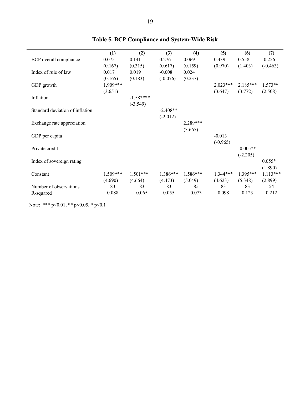|                                 | (1)        | (2)         | (3)        | (4)        | (5)        | (6)        | (7)        |
|---------------------------------|------------|-------------|------------|------------|------------|------------|------------|
| BCP overall compliance          | 0.075      | 0.141       | 0.276      | 0.069      | 0.439      | 0.558      | $-0.256$   |
|                                 | (0.167)    | (0.315)     | (0.617)    | (0.159)    | (0.970)    | (1.403)    | $(-0.463)$ |
| Index of rule of law            | 0.017      | 0.019       | $-0.008$   | 0.024      |            |            |            |
|                                 | (0.165)    | (0.183)     | $(-0.076)$ | (0.237)    |            |            |            |
| GDP growth                      | 1.909***   |             |            |            | $2.023***$ | $2.185***$ | $1.573**$  |
|                                 | (3.651)    |             |            |            | (3.647)    | (3.772)    | (2.508)    |
| Inflation                       |            | $-1.582***$ |            |            |            |            |            |
|                                 |            | $(-3.549)$  |            |            |            |            |            |
| Standard deviation of inflation |            |             | $-2.408**$ |            |            |            |            |
|                                 |            |             | $(-2.012)$ |            |            |            |            |
| Exchange rate appreciation      |            |             |            | 2.289***   |            |            |            |
|                                 |            |             |            | (3.665)    |            |            |            |
| GDP per capita                  |            |             |            |            | $-0.013$   |            |            |
|                                 |            |             |            |            | $(-0.965)$ |            |            |
| Private credit                  |            |             |            |            |            | $-0.005**$ |            |
|                                 |            |             |            |            |            | $(-2.205)$ |            |
| Index of sovereign rating       |            |             |            |            |            |            | $0.055*$   |
|                                 |            |             |            |            |            |            | (1.890)    |
| Constant                        | $1.509***$ | $1.501***$  | $1.386***$ | $1.586***$ | $1.344***$ | $1.395***$ | $1.113***$ |
|                                 | (4.690)    | (4.664)     | (4.473)    | (5.049)    | (4.623)    | (5.348)    | (2.899)    |
| Number of observations          | 83         | 83          | 83         | 85         | 83         | 83         | 54         |
|                                 |            |             |            |            |            |            |            |
| R-squared                       | 0.088      | 0.065       | 0.055      | 0.073      | 0.098      | 0.123      | 0.212      |

**Table 5. BCP Compliance and System-Wide Risk**

Note: \*\*\* p<0.01, \*\* p<0.05, \* p<0.1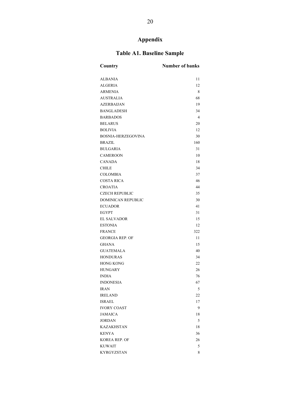# **Appendix**

# **Table A1. Baseline Sample**

| Country                   | <b>Number of banks</b> |
|---------------------------|------------------------|
| ALBANIA                   | 11                     |
| <b>ALGERIA</b>            | 12                     |
| <b>ARMENIA</b>            | 8                      |
| <b>AUSTRALIA</b>          | 68                     |
| <b>AZERBAIJAN</b>         | 19                     |
| <b>BANGLADESH</b>         | 34                     |
| <b>BARBADOS</b>           | 4                      |
| <b>BELARUS</b>            | 20                     |
| <b>BOLIVIA</b>            | 12                     |
| <b>BOSNIA-HERZEGOVINA</b> | 30                     |
| <b>BRAZIL</b>             | 160                    |
| <b>BULGARIA</b>           | 31                     |
| <b>CAMEROON</b>           | 10                     |
| <b>CANADA</b>             | 18                     |
| <b>CHILE</b>              | 34                     |
| <b>COLOMBIA</b>           | 37                     |
| <b>COSTA RICA</b>         | 46                     |
| <b>CROATIA</b>            | 44                     |
| <b>CZECH REPUBLIC</b>     | 35                     |
| <b>DOMINICAN REPUBLIC</b> | 30                     |
| <b>ECUADOR</b>            | 41                     |
| <b>EGYPT</b>              | 31                     |
| <b>EL SALVADOR</b>        | 15                     |
| <b>ESTONIA</b>            | 12                     |
| <b>FRANCE</b>             | 322                    |
| <b>GEORGIA REP. OF</b>    | 11                     |
| <b>GHANA</b>              | 15                     |
| <b>GUATEMALA</b>          | 40                     |
| <b>HONDURAS</b>           | 34                     |
| <b>HONG KONG</b>          | 22                     |
| <b>HUNGARY</b>            | 26                     |
| <b>INDIA</b>              | 76                     |
| <b>INDONESIA</b>          | 67                     |
| <b>IRAN</b>               | 5                      |
| <b>IRELAND</b>            | 22                     |
| <b>ISRAEL</b>             | 17                     |
| <b>IVORY COAST</b>        | 9                      |
| <b>JAMAICA</b>            | 18                     |
| <b>JORDAN</b>             | 5                      |
| KAZAKHSTAN                | 18                     |
| <b>KENYA</b>              | 36                     |
| KOREA REP. OF             | 26                     |
| <b>KUWAIT</b>             | 5                      |
| KYRGYZSTAN                | 8                      |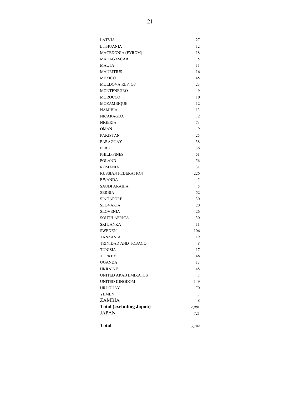| LATVIA                         | 27    |
|--------------------------------|-------|
| LITHUANIA                      | 12    |
| MACEDONIA (FYROM)              | 18    |
| MADAGASCAR                     | 5     |
| <b>MALTA</b>                   | 11    |
| <b>MAURITIUS</b>               | 16    |
| <b>MEXICO</b>                  | 45    |
| MOLDOVA REP. OF                | 23    |
| <b>MONTENEGRO</b>              | 9     |
| <b>MOROCCO</b>                 | 10    |
| <b>MOZAMBIQUE</b>              | 12    |
| NAMIBIA                        | 13    |
| <b>NICARAGUA</b>               | 12    |
| <b>NIGERIA</b>                 | 73    |
| <b>OMAN</b>                    | 9     |
| <b>PAKISTAN</b>                | 25    |
| <b>PARAGUAY</b>                | 38    |
| PERU                           | 36    |
| <b>PHILIPPINES</b>             | 51    |
| <b>POLAND</b>                  | 56    |
| <b>ROMANIA</b>                 | 31    |
| <b>RUSSIAN FEDERATION</b>      | 226   |
| <b>RWANDA</b>                  | 5     |
| <b>SAUDI ARABIA</b>            | 5     |
| <b>SERBIA</b>                  | 52    |
| <b>SINGAPORE</b>               | 30    |
| <b>SLOVAKIA</b>                | 20    |
| <b>SLOVENIA</b>                | 26    |
| <b>SOUTH AFRICA</b>            | 30    |
| <b>SRI LANKA</b>               | 11    |
| <b>SWEDEN</b>                  | 106   |
| <b>TANZANIA</b>                | 19    |
| TRINIDAD AND TOBAGO            | 8     |
| <b>TUNISIA</b>                 | 17    |
| <b>TURKEY</b>                  | 48    |
| <b>UGANDA</b>                  | 13    |
| <b>UKRAINE</b>                 | 48    |
| <b>UNITED ARAB EMIRATES</b>    | 7     |
| UNITED KINGDOM                 | 149   |
| <b>URUGUAY</b>                 | 70    |
| <b>YEMEN</b>                   | 7     |
| ZAMBIA                         | 8     |
| <b>Total (excluding Japan)</b> | 2,981 |
| <b>JAPAN</b>                   | 721   |
| <b>Total</b>                   | 3,702 |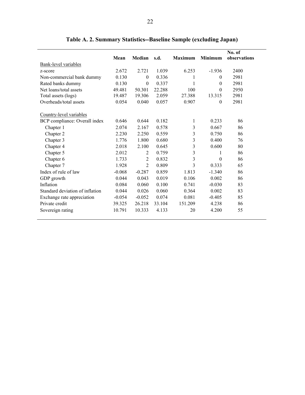|                                 |          |                |        |                |                | No. of       |
|---------------------------------|----------|----------------|--------|----------------|----------------|--------------|
|                                 | Mean     | Median         | s.d.   | <b>Maximum</b> | <b>Minimum</b> | observations |
| Bank-level variables            |          |                |        |                |                |              |
| z-score                         | 2.672    | 2.721          | 1.039  | 6.253          | $-1.936$       | 2400         |
| Non-commercial bank dummy       | 0.130    | $\theta$       | 0.336  | 1              | $\Omega$       | 2981         |
| Rated banks dummy               | 0.130    | $\theta$       | 0.337  | 1              | $\Omega$       | 2981         |
| Net loans/total assets          | 49.481   | 50.301         | 22.288 | 100            | $\theta$       | 2950         |
| Total assets (logs)             | 19.487   | 19.306         | 2.059  | 27.388         | 13.315         | 2981         |
| Overheads/total assets          | 0.054    | 0.040          | 0.057  | 0.907          | $\theta$       | 2981         |
| Country-level variables         |          |                |        |                |                |              |
| BCP compliance: Overall index   | 0.646    | 0.644          | 0.182  | 1              | 0.233          | 86           |
| Chapter 1                       | 2.074    | 2.167          | 0.578  | 3              | 0.667          | 86           |
| Chapter 2                       | 2.230    | 2.250          | 0.559  | 3              | 0.750          | 86           |
| Chapter 3                       | 1.776    | 1.800          | 0.680  | 3              | 0.400          | 76           |
| Chapter 4                       | 2.018    | 2.100          | 0.645  | 3              | 0.600          | 80           |
| Chapter 5                       | 2.012    | $\overline{2}$ | 0.759  | 3              | 1              | 86           |
| Chapter 6                       | 1.733    | $\overline{2}$ | 0.832  | 3              | $\Omega$       | 86           |
| Chapter 7                       | 1.928    | $\overline{2}$ | 0.809  | 3              | 0.333          | 65           |
| Index of rule of law            | $-0.068$ | $-0.287$       | 0.859  | 1.813          | $-1.340$       | 86           |
| GDP growth                      | 0.044    | 0.043          | 0.019  | 0.106          | 0.002          | 86           |
| Inflation                       | 0.084    | 0.060          | 0.100  | 0.741          | $-0.030$       | 83           |
| Standard deviation of inflation | 0.044    | 0.026          | 0.060  | 0.364          | 0.002          | 83           |
| Exchange rate appreciation      | $-0.054$ | $-0.052$       | 0.074  | 0.081          | $-0.405$       | 85           |
| Private credit                  | 39.325   | 26.218         | 33.104 | 151.209        | 4.238          | 86           |
| Sovereign rating                | 10.791   | 10.333         | 4.133  | 20             | 4.200          | 55           |

**Table A. 2. Summary Statistics--Baseline Sample (excluding Japan)**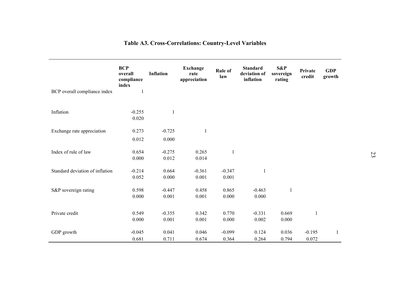| $\mathbf{1}$<br>$-0.255$<br>0.020 | $\mathbf{1}$                                 |                                  |                                     |                            |                                |                |       |
|-----------------------------------|----------------------------------------------|----------------------------------|-------------------------------------|----------------------------|--------------------------------|----------------|-------|
|                                   |                                              |                                  |                                     |                            |                                |                |       |
|                                   |                                              |                                  |                                     |                            |                                |                |       |
|                                   | $-0.725$                                     | $\,1\,$                          |                                     |                            |                                |                |       |
| 0.012                             | 0.000                                        |                                  |                                     |                            |                                |                |       |
| 0.654                             | $-0.275$                                     | 0.265                            | 1                                   |                            |                                |                |       |
|                                   |                                              |                                  |                                     |                            |                                |                |       |
| 0.052                             | 0.000                                        | 0.001                            | 0.001                               |                            |                                |                |       |
| 0.598<br>0.000                    | $-0.447$<br>0.001                            | 0.458<br>0.001                   | 0.865<br>0.000                      | $-0.463$<br>0.000          | 1                              |                |       |
| 0.549                             | $-0.355$                                     | 0.342                            | 0.770                               | $-0.331$                   | 0.669                          | $\overline{1}$ |       |
| $-0.045$                          | 0.041                                        | 0.046                            | $-0.099$                            | 0.124                      | 0.036                          | $-0.195$       | 1     |
|                                   | 0.273<br>0.000<br>$-0.214$<br>0.000<br>0.681 | 0.012<br>0.664<br>0.001<br>0.711 | 0.014<br>$-0.361$<br>0.001<br>0.674 | $-0.347$<br>0.000<br>0.364 | $\mathbf{1}$<br>0.002<br>0.264 | 0.000<br>0.794 | 0.072 |

# **Table A3. Cross-Correlations: Country-Level Variables**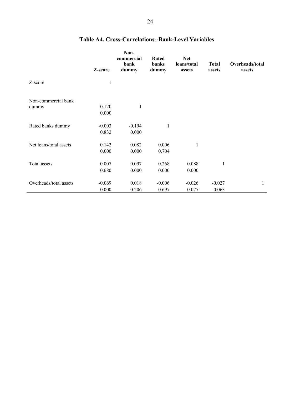|                        | Z-score           | Non-<br>commercial<br>bank<br>dummy | Rated<br>banks<br>dummy | <b>Net</b><br>loans/total<br>assets | <b>Total</b><br>assets | Overheads/total<br>assets |
|------------------------|-------------------|-------------------------------------|-------------------------|-------------------------------------|------------------------|---------------------------|
| Z-score                | 1                 |                                     |                         |                                     |                        |                           |
| Non-commercial bank    |                   |                                     |                         |                                     |                        |                           |
| dummy                  | 0.120<br>0.000    | 1                                   |                         |                                     |                        |                           |
| Rated banks dummy      | $-0.003$<br>0.832 | $-0.194$<br>0.000                   | $\mathbf{1}$            |                                     |                        |                           |
| Net loans/total assets | 0.142<br>0.000    | 0.082<br>0.000                      | 0.006<br>0.704          | 1                                   |                        |                           |
| Total assets           | 0.007<br>0.680    | 0.097<br>0.000                      | 0.268<br>0.000          | 0.088<br>0.000                      | 1                      |                           |
| Overheads/total assets | $-0.069$<br>0.000 | 0.018<br>0.206                      | $-0.006$<br>0.697       | $-0.026$<br>0.077                   | $-0.027$<br>0.063      | $\mathbf{1}$              |

## **Table A4. Cross-Correlations--Bank-Level Variables**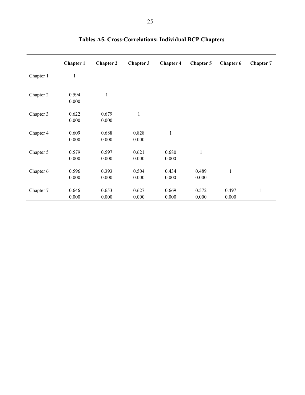|           | <b>Chapter 1</b> | <b>Chapter 2</b> | <b>Chapter 3</b> | <b>Chapter 4</b> | <b>Chapter 5</b> | <b>Chapter 6</b> | <b>Chapter 7</b> |
|-----------|------------------|------------------|------------------|------------------|------------------|------------------|------------------|
| Chapter 1 | $\mathbf{1}$     |                  |                  |                  |                  |                  |                  |
| Chapter 2 | 0.594<br>0.000   | $\,1$            |                  |                  |                  |                  |                  |
| Chapter 3 | 0.622<br>0.000   | 0.679<br>0.000   | $\mathbf{1}$     |                  |                  |                  |                  |
| Chapter 4 | 0.609<br>0.000   | 0.688<br>0.000   | 0.828<br>0.000   | $\mathbf{1}$     |                  |                  |                  |
| Chapter 5 | 0.579<br>0.000   | 0.597<br>0.000   | 0.621<br>0.000   | 0.680<br>0.000   | $\mathbf{1}$     |                  |                  |
| Chapter 6 | 0.596<br>0.000   | 0.393<br>0.000   | 0.504<br>0.000   | 0.434<br>0.000   | 0.489<br>0.000   | $\mathbf{1}$     |                  |
| Chapter 7 | 0.646<br>0.000   | 0.653<br>0.000   | 0.627<br>0.000   | 0.669<br>0.000   | 0.572<br>0.000   | 0.497<br>0.000   | $\mathbf{1}$     |

# **Tables A5. Cross-Correlations: Individual BCP Chapters**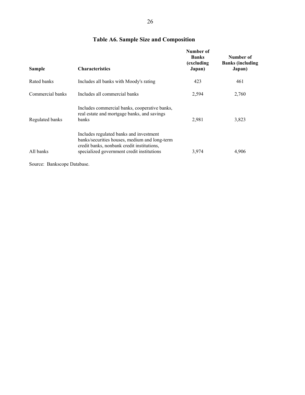|  |  |  |  |  |  | <b>Table A6. Sample Size and Composition</b> |
|--|--|--|--|--|--|----------------------------------------------|
|--|--|--|--|--|--|----------------------------------------------|

| Sample           | <b>Characteristics</b>                                                                                                                                                               | Number of<br><b>Banks</b><br>(excluding<br>Japan) | Number of<br><b>Banks (including</b><br>Japan) |
|------------------|--------------------------------------------------------------------------------------------------------------------------------------------------------------------------------------|---------------------------------------------------|------------------------------------------------|
| Rated banks      | Includes all banks with Moody's rating                                                                                                                                               | 423                                               | 461                                            |
| Commercial banks | Includes all commercial banks                                                                                                                                                        | 2,594                                             | 2,760                                          |
| Regulated banks  | Includes commercial banks, cooperative banks,<br>real estate and mortgage banks, and savings<br>banks                                                                                | 2,981                                             | 3,823                                          |
| All banks        | Includes regulated banks and investment<br>banks/securities houses, medium and long-term<br>credit banks, nonbank credit institutions,<br>specialized government credit institutions | 3,974                                             | 4,906                                          |

Source: Bankscope Database.